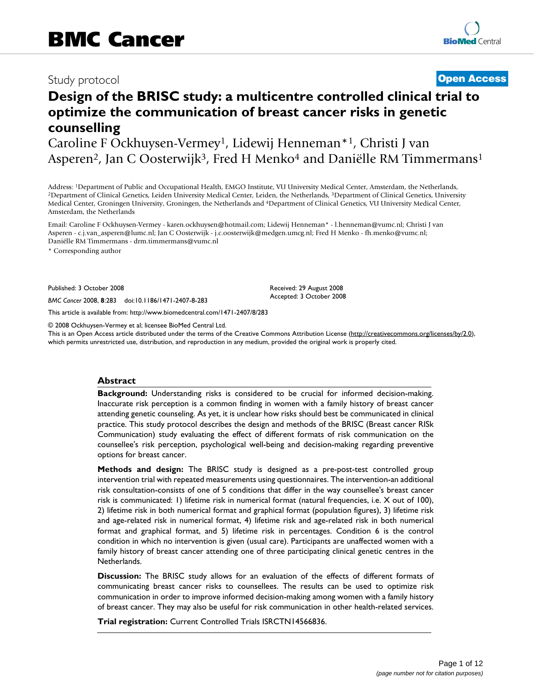## Study protocol **[Open Access](http://www.biomedcentral.com/info/about/charter/)**

# **Design of the BRISC study: a multicentre controlled clinical trial to optimize the communication of breast cancer risks in genetic counselling**

Caroline F Ockhuysen-Vermey<sup>1</sup>, Lidewij Henneman<sup>\*1</sup>, Christi J van Asperen<sup>2</sup>, Jan C Oosterwijk<sup>3</sup>, Fred H Menko<sup>4</sup> and Daniëlle RM Timmermans<sup>1</sup>

Address: <sup>1</sup>Department of Public and Occupational Health, EMGO Institute, VU University Medical Center, Amsterdam, the Netherlands,<br><sup>2</sup>Department of Clinical Genetics, Leiden University Medical Center, Leiden, the Netherla Medical Center, Groningen University, Groningen, the Netherlands and 4Department of Clinical Genetics, VU University Medical Center, Amsterdam, the Netherlands

Email: Caroline F Ockhuysen-Vermey - karen.ockhuysen@hotmail.com; Lidewij Henneman\* - l.henneman@vumc.nl; Christi J van Asperen - c.j.van\_asperen@lumc.nl; Jan C Oosterwijk - j.c.oosterwijk@medgen.umcg.nl; Fred H Menko - fh.menko@vumc.nl; Daniëlle RM Timmermans - drm.timmermans@vumc.nl

\* Corresponding author

Published: 3 October 2008

*BMC Cancer* 2008, **8**:283 doi:10.1186/1471-2407-8-283

[This article is available from: http://www.biomedcentral.com/1471-2407/8/283](http://www.biomedcentral.com/1471-2407/8/283)

© 2008 Ockhuysen-Vermey et al; licensee BioMed Central Ltd.

This is an Open Access article distributed under the terms of the Creative Commons Attribution License [\(http://creativecommons.org/licenses/by/2.0\)](http://creativecommons.org/licenses/by/2.0), which permits unrestricted use, distribution, and reproduction in any medium, provided the original work is properly cited.

Received: 29 August 2008 Accepted: 3 October 2008

#### **Abstract**

**Background:** Understanding risks is considered to be crucial for informed decision-making. Inaccurate risk perception is a common finding in women with a family history of breast cancer attending genetic counseling. As yet, it is unclear how risks should best be communicated in clinical practice. This study protocol describes the design and methods of the BRISC (Breast cancer RISk Communication) study evaluating the effect of different formats of risk communication on the counsellee's risk perception, psychological well-being and decision-making regarding preventive options for breast cancer.

**Methods and design:** The BRISC study is designed as a pre-post-test controlled group intervention trial with repeated measurements using questionnaires. The intervention-an additional risk consultation-consists of one of 5 conditions that differ in the way counsellee's breast cancer risk is communicated: 1) lifetime risk in numerical format (natural frequencies, i.e. X out of 100), 2) lifetime risk in both numerical format and graphical format (population figures), 3) lifetime risk and age-related risk in numerical format, 4) lifetime risk and age-related risk in both numerical format and graphical format, and 5) lifetime risk in percentages. Condition 6 is the control condition in which no intervention is given (usual care). Participants are unaffected women with a family history of breast cancer attending one of three participating clinical genetic centres in the Netherlands.

**Discussion:** The BRISC study allows for an evaluation of the effects of different formats of communicating breast cancer risks to counsellees. The results can be used to optimize risk communication in order to improve informed decision-making among women with a family history of breast cancer. They may also be useful for risk communication in other health-related services.

**Trial registration:** Current Controlled Trials ISRCTN14566836.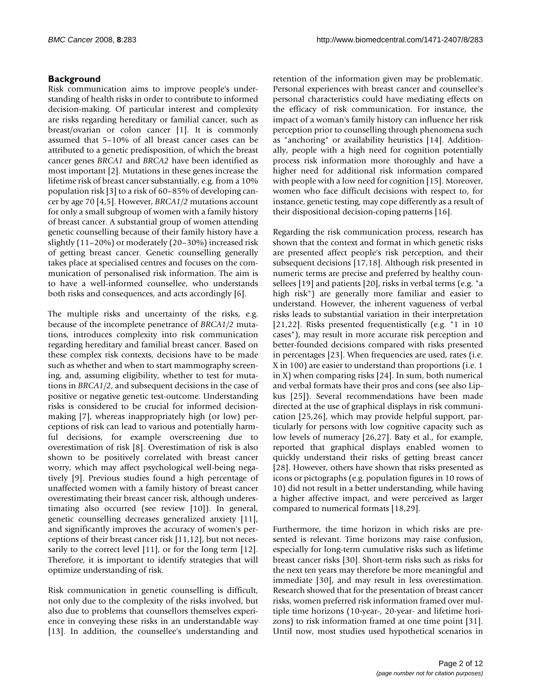#### **Background**

Risk communication aims to improve people's understanding of health risks in order to contribute to informed decision-making. Of particular interest and complexity are risks regarding hereditary or familial cancer, such as breast/ovarian or colon cancer [1]. It is commonly assumed that 5–10% of all breast cancer cases can be attributed to a genetic predisposition, of which the breast cancer genes *BRCA1* and *BRCA2* have been identified as most important [2]. Mutations in these genes increase the lifetime risk of breast cancer substantially, e.g. from a 10% population risk [3] to a risk of 60–85% of developing cancer by age 70 [4,5]. However, *BRCA1/2* mutations account for only a small subgroup of women with a family history of breast cancer. A substantial group of women attending genetic counselling because of their family history have a slightly (11–20%) or moderately (20–30%) increased risk of getting breast cancer. Genetic counselling generally takes place at specialised centres and focuses on the communication of personalised risk information. The aim is to have a well-informed counsellee, who understands both risks and consequences, and acts accordingly [6].

The multiple risks and uncertainty of the risks, e.g. because of the incomplete penetrance of *BRCA1/2* mutations, introduces complexity into risk communication regarding hereditary and familial breast cancer. Based on these complex risk contexts, decisions have to be made such as whether and when to start mammography screening, and, assuming eligibility, whether to test for mutations in *BRCA1/2*, and subsequent decisions in the case of positive or negative genetic test-outcome. Understanding risks is considered to be crucial for informed decisionmaking [7], whereas inappropriately high (or low) perceptions of risk can lead to various and potentially harmful decisions, for example overscreening due to overestimation of risk [8]. Overestimation of risk is also shown to be positively correlated with breast cancer worry, which may affect psychological well-being negatively [9]. Previous studies found a high percentage of unaffected women with a family history of breast cancer overestimating their breast cancer risk, although underestimating also occurred (see review [10]). In general, genetic counselling decreases generalized anxiety [11], and significantly improves the accuracy of women's perceptions of their breast cancer risk [11,12], but not necessarily to the correct level [11], or for the long term [12]. Therefore, it is important to identify strategies that will optimize understanding of risk.

Risk communication in genetic counselling is difficult, not only due to the complexity of the risks involved, but also due to problems that counsellors themselves experience in conveying these risks in an understandable way [13]. In addition, the counsellee's understanding and

retention of the information given may be problematic. Personal experiences with breast cancer and counsellee's personal characteristics could have mediating effects on the efficacy of risk communication. For instance, the impact of a woman's family history can influence her risk perception prior to counselling through phenomena such as "anchoring" or availability heuristics [14]. Additionally, people with a high need for cognition potentially process risk information more thoroughly and have a higher need for additional risk information compared with people with a low need for cognition [15]. Moreover, women who face difficult decisions with respect to, for instance, genetic testing, may cope differently as a result of their dispositional decision-coping patterns [16].

Regarding the risk communication process, research has shown that the context and format in which genetic risks are presented affect people's risk perception, and their subsequent decisions [17,18]. Although risk presented in numeric terms are precise and preferred by healthy counsellees [19] and patients [20], risks in verbal terms (e.g. "a high risk") are generally more familiar and easier to understand. However, the inherent vagueness of verbal risks leads to substantial variation in their interpretation [21,22]. Risks presented frequentistically (e.g. "1 in 10 cases"), may result in more accurate risk perception and better-founded decisions compared with risks presented in percentages [23]. When frequencies are used, rates (i.e. X in 100) are easier to understand than proportions (i.e. 1 in X) when comparing risks [24]. In sum, both numerical and verbal formats have their pros and cons (see also Lipkus [25]). Several recommendations have been made directed at the use of graphical displays in risk communication [25,26], which may provide helpful support, particularly for persons with low cognitive capacity such as low levels of numeracy [26,27]. Baty et al., for example, reported that graphical displays enabled women to quickly understand their risks of getting breast cancer [28]. However, others have shown that risks presented as icons or pictographs (e.g. population figures in 10 rows of 10) did not result in a better understanding, while having a higher affective impact, and were perceived as larger compared to numerical formats [18,29].

Furthermore, the time horizon in which risks are presented is relevant. Time horizons may raise confusion, especially for long-term cumulative risks such as lifetime breast cancer risks [30]. Short-term risks such as risks for the next ten years may therefore be more meaningful and immediate [30], and may result in less overestimation. Research showed that for the presentation of breast cancer risks, women preferred risk information framed over multiple time horizons (10-year-, 20-year- and lifetime horizons) to risk information framed at one time point [31]. Until now, most studies used hypothetical scenarios in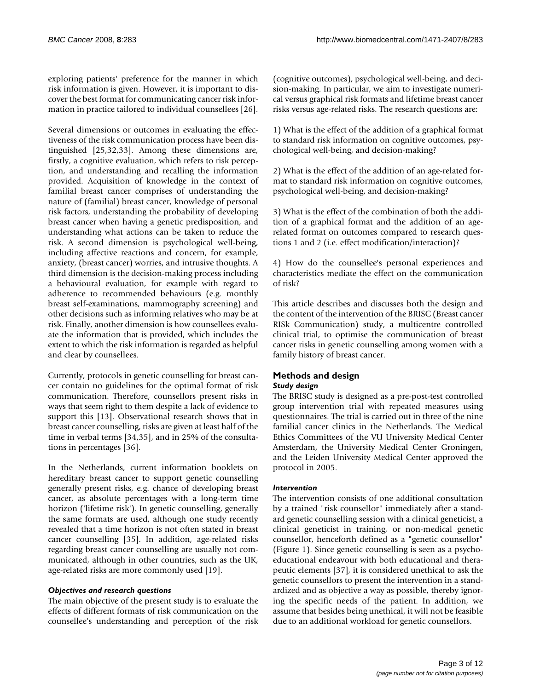exploring patients' preference for the manner in which risk information is given. However, it is important to discover the best format for communicating cancer risk information in practice tailored to individual counsellees [26].

Several dimensions or outcomes in evaluating the effectiveness of the risk communication process have been distinguished [25,32,33]. Among these dimensions are, firstly, a cognitive evaluation, which refers to risk perception, and understanding and recalling the information provided. Acquisition of knowledge in the context of familial breast cancer comprises of understanding the nature of (familial) breast cancer, knowledge of personal risk factors, understanding the probability of developing breast cancer when having a genetic predisposition, and understanding what actions can be taken to reduce the risk. A second dimension is psychological well-being, including affective reactions and concern, for example, anxiety, (breast cancer) worries, and intrusive thoughts. A third dimension is the decision-making process including a behavioural evaluation, for example with regard to adherence to recommended behaviours (e.g. monthly breast self-examinations, mammography screening) and other decisions such as informing relatives who may be at risk. Finally, another dimension is how counsellees evaluate the information that is provided, which includes the extent to which the risk information is regarded as helpful and clear by counsellees.

Currently, protocols in genetic counselling for breast cancer contain no guidelines for the optimal format of risk communication. Therefore, counsellors present risks in ways that seem right to them despite a lack of evidence to support this [13]. Observational research shows that in breast cancer counselling, risks are given at least half of the time in verbal terms [34,35], and in 25% of the consultations in percentages [36].

In the Netherlands, current information booklets on hereditary breast cancer to support genetic counselling generally present risks, e.g. chance of developing breast cancer, as absolute percentages with a long-term time horizon ('lifetime risk'). In genetic counselling, generally the same formats are used, although one study recently revealed that a time horizon is not often stated in breast cancer counselling [35]. In addition, age-related risks regarding breast cancer counselling are usually not communicated, although in other countries, such as the UK, age-related risks are more commonly used [19].

#### *Objectives and research questions*

The main objective of the present study is to evaluate the effects of different formats of risk communication on the counsellee's understanding and perception of the risk (cognitive outcomes), psychological well-being, and decision-making. In particular, we aim to investigate numerical versus graphical risk formats and lifetime breast cancer risks versus age-related risks. The research questions are:

1) What is the effect of the addition of a graphical format to standard risk information on cognitive outcomes, psychological well-being, and decision-making?

2) What is the effect of the addition of an age-related format to standard risk information on cognitive outcomes, psychological well-being, and decision-making?

3) What is the effect of the combination of both the addition of a graphical format and the addition of an agerelated format on outcomes compared to research questions 1 and 2 (i.e. effect modification/interaction)?

4) How do the counsellee's personal experiences and characteristics mediate the effect on the communication of risk?

This article describes and discusses both the design and the content of the intervention of the BRISC (Breast cancer RISk Communication) study, a multicentre controlled clinical trial, to optimise the communication of breast cancer risks in genetic counselling among women with a family history of breast cancer.

#### **Methods and design** *Study design*

The BRISC study is designed as a pre-post-test controlled group intervention trial with repeated measures using questionnaires. The trial is carried out in three of the nine familial cancer clinics in the Netherlands. The Medical Ethics Committees of the VU University Medical Center Amsterdam, the University Medical Center Groningen, and the Leiden University Medical Center approved the protocol in 2005.

#### *Intervention*

The intervention consists of one additional consultation by a trained "risk counsellor" immediately after a standard genetic counselling session with a clinical geneticist, a clinical geneticist in training, or non-medical genetic counsellor, henceforth defined as a "genetic counsellor" (Figure 1). Since genetic counselling is seen as a psychoeducational endeavour with both educational and therapeutic elements [37], it is considered unethical to ask the genetic counsellors to present the intervention in a standardized and as objective a way as possible, thereby ignoring the specific needs of the patient. In addition, we assume that besides being unethical, it will not be feasible due to an additional workload for genetic counsellors.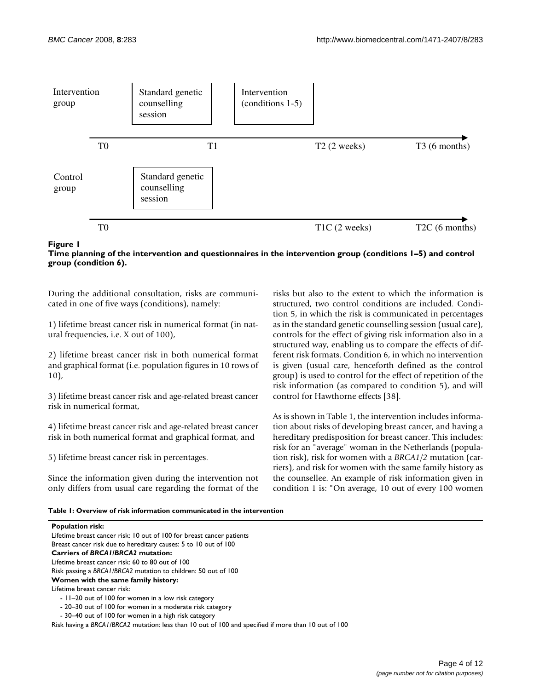

#### Time planning of the intervention and que 6) **Figure 1** stionnaires in the intervention group (conditions 1–5) and control group (condition **Time planning of the intervention and questionnaires in the intervention group (conditions 1–5) and control group (condition 6).**

During the additional consultation, risks are communicated in one of five ways (conditions), namely:

1) lifetime breast cancer risk in numerical format (in natural frequencies, i.e. X out of 100),

2) lifetime breast cancer risk in both numerical format and graphical format (i.e. population figures in 10 rows of 10),

3) lifetime breast cancer risk and age-related breast cancer risk in numerical format,

4) lifetime breast cancer risk and age-related breast cancer risk in both numerical format and graphical format, and

5) lifetime breast cancer risk in percentages.

Since the information given during the intervention not only differs from usual care regarding the format of the risks but also to the extent to which the information is structured, two control conditions are included. Condition 5, in which the risk is communicated in percentages as in the standard genetic counselling session (usual care), controls for the effect of giving risk information also in a structured way, enabling us to compare the effects of different risk formats. Condition 6, in which no intervention is given (usual care, henceforth defined as the control group) is used to control for the effect of repetition of the risk information (as compared to condition 5), and will control for Hawthorne effects [38].

As is shown in Table 1, the intervention includes information about risks of developing breast cancer, and having a hereditary predisposition for breast cancer. This includes: risk for an "average" woman in the Netherlands (population risk), risk for women with a *BRCA1/2* mutation (carriers), and risk for women with the same family history as the counsellee. An example of risk information given in condition 1 is: "On average, 10 out of every 100 women

**Table 1: Overview of risk information communicated in the intervention**

| <b>Population risk:</b>                                                                               |
|-------------------------------------------------------------------------------------------------------|
| Lifetime breast cancer risk: 10 out of 100 for breast cancer patients                                 |
| Breast cancer risk due to hereditary causes: 5 to 10 out of 100                                       |
| <b>Carriers of BRCAI/BRCA2 mutation:</b>                                                              |
| Lifetime breast cancer risk: 60 to 80 out of 100                                                      |
| Risk passing a BRCA1/BRCA2 mutation to children: 50 out of 100                                        |
| Women with the same family history:                                                                   |
| Lifetime breast cancer risk:                                                                          |
| - 11–20 out of 100 for women in a low risk category                                                   |
| - 20–30 out of 100 for women in a moderate risk category                                              |
| - 30–40 out of 100 for women in a high risk category                                                  |
| Risk having a BRCA I/BRCA2 mutation: less than 10 out of 100 and specified if more than 10 out of 100 |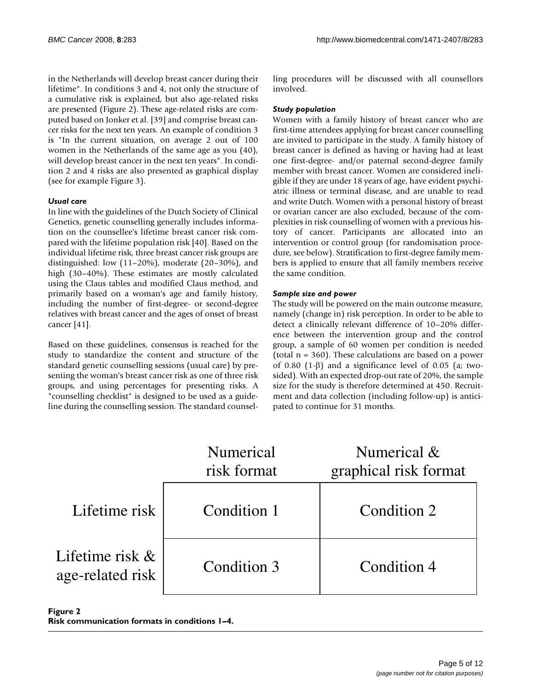in the Netherlands will develop breast cancer during their lifetime". In conditions 3 and 4, not only the structure of a cumulative risk is explained, but also age-related risks are presented (Figure 2). These age-related risks are computed based on Jonker et al. [39] and comprise breast cancer risks for the next ten years. An example of condition 3 is "In the current situation, on average 2 out of 100 women in the Netherlands of the same age as you (40), will develop breast cancer in the next ten years". In condition 2 and 4 risks are also presented as graphical display (see for example Figure 3).

#### *Usual care*

In line with the guidelines of the Dutch Society of Clinical Genetics, genetic counselling generally includes information on the counsellee's lifetime breast cancer risk compared with the lifetime population risk [40]. Based on the individual lifetime risk, three breast cancer risk groups are distinguished: low (11–20%), moderate (20–30%), and high (30–40%). These estimates are mostly calculated using the Claus tables and modified Claus method, and primarily based on a woman's age and family history, including the number of first-degree- or second-degree relatives with breast cancer and the ages of onset of breast cancer [41].

Based on these guidelines, consensus is reached for the study to standardize the content and structure of the standard genetic counselling sessions (usual care) by presenting the woman's breast cancer risk as one of three risk groups, and using percentages for presenting risks. A "counselling checklist" is designed to be used as a guideline during the counselling session. The standard counselling procedures will be discussed with all counsellors involved.

#### *Study population*

Women with a family history of breast cancer who are first-time attendees applying for breast cancer counselling are invited to participate in the study. A family history of breast cancer is defined as having or having had at least one first-degree- and/or paternal second-degree family member with breast cancer. Women are considered ineligible if they are under 18 years of age, have evident psychiatric illness or terminal disease, and are unable to read and write Dutch. Women with a personal history of breast or ovarian cancer are also excluded, because of the complexities in risk counselling of women with a previous history of cancer. Participants are allocated into an intervention or control group (for randomisation procedure, see below). Stratification to first-degree family members is applied to ensure that all family members receive the same condition.

#### *Sample size and power*

The study will be powered on the main outcome measure, namely (change in) risk perception. In order to be able to detect a clinically relevant difference of 10–20% difference between the intervention group and the control group, a sample of 60 women per condition is needed (total n = 360). These calculations are based on a power of 0.80 (1-β) and a significance level of 0.05 (a; twosided). With an expected drop-out rate of 20%, the sample size for the study is therefore determined at 450. Recruitment and data collection (including follow-up) is anticipated to continue for 31 months.

|                                        | Numerical<br>risk format | Numerical &<br>graphical risk format |
|----------------------------------------|--------------------------|--------------------------------------|
| Lifetime risk                          | Condition 1              | Condition 2                          |
| Lifetime risk $\&$<br>age-related risk | Condition 3              | Condition 4                          |

Figure 2 **Risk communication formats in conditions 1–4.**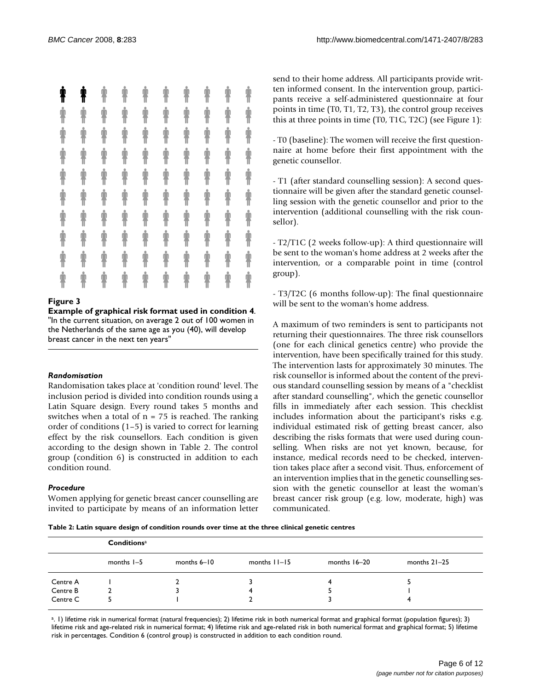| ŧ | ŧ                  | İ | İ | İ | Ť | İ                  | İ | İ | İ |
|---|--------------------|---|---|---|---|--------------------|---|---|---|
| İ | $\hat{\textbf{r}}$ | İ | İ | İ | İ | İ                  | İ | İ | İ |
| İ | İ                  | İ | İ | İ | İ | İ                  | İ | İ | İ |
| İ | İ                  | İ | İ | İ | İ | İ                  | İ | İ | İ |
| İ | İ                  | İ | İ | İ | İ | İ                  | İ | İ | İ |
| İ | İ                  | İ | İ | İ | İ | İ                  | İ | İ | İ |
| İ | İ                  | İ | İ | İ | İ | $\hat{\mathbf{r}}$ | İ | İ | İ |
| İ | İ                  | İ | İ | İ | İ | İ                  | İ | İ | İ |
| İ | İ                  | İ | İ | İ | İ | İ                  | İ | İ | İ |
| İ | İ                  | İ | İ | İ | İ | İ                  | İ | İ | İ |

#### **Figure 3**

**Example of graphical risk format used in condition 4**. "In the current situation, on average 2 out of 100 women in the Netherlands of the same age as you (40), will develop breast cancer in the next ten years"

#### *Randomisation*

Randomisation takes place at 'condition round' level. The inclusion period is divided into condition rounds using a Latin Square design. Every round takes 5 months and switches when a total of  $n = 75$  is reached. The ranking order of conditions (1–5) is varied to correct for learning effect by the risk counsellors. Each condition is given according to the design shown in Table 2. The control group (condition 6) is constructed in addition to each condition round.

#### *Procedure*

Women applying for genetic breast cancer counselling are invited to participate by means of an information letter send to their home address. All participants provide written informed consent. In the intervention group, participants receive a self-administered questionnaire at four points in time (T0, T1, T2, T3), the control group receives this at three points in time (T0, T1C, T2C) (see Figure 1):

- T0 (baseline): The women will receive the first questionnaire at home before their first appointment with the genetic counsellor.

- T1 (after standard counselling session): A second questionnaire will be given after the standard genetic counselling session with the genetic counsellor and prior to the intervention (additional counselling with the risk counsellor).

- T2/T1C (2 weeks follow-up): A third questionnaire will be sent to the woman's home address at 2 weeks after the intervention, or a comparable point in time (control group).

- T3/T2C (6 months follow-up): The final questionnaire will be sent to the woman's home address.

A maximum of two reminders is sent to participants not returning their questionnaires. The three risk counsellors (one for each clinical genetics centre) who provide the intervention, have been specifically trained for this study. The intervention lasts for approximately 30 minutes. The risk counsellor is informed about the content of the previous standard counselling session by means of a "checklist after standard counselling", which the genetic counsellor fills in immediately after each session. This checklist includes information about the participant's risks e.g. individual estimated risk of getting breast cancer, also describing the risks formats that were used during counselling. When risks are not yet known, because, for instance, medical records need to be checked, intervention takes place after a second visit. Thus, enforcement of an intervention implies that in the genetic counselling session with the genetic counsellor at least the woman's breast cancer risk group (e.g. low, moderate, high) was communicated.

**Table 2: Latin square design of condition rounds over time at the three clinical genetic centres**

|          | Conditions <sup>a</sup> |                 |                   |                |                |  |  |  |
|----------|-------------------------|-----------------|-------------------|----------------|----------------|--|--|--|
|          | months $I - 5$          | months $6 - 10$ | months $ 1 - 15 $ | months $16-20$ | months $21-25$ |  |  |  |
| Centre A |                         |                 |                   |                |                |  |  |  |
| Centre B |                         |                 |                   |                |                |  |  |  |
| Centre C |                         |                 |                   |                |                |  |  |  |

a. 1) lifetime risk in numerical format (natural frequencies); 2) lifetime risk in both numerical format and graphical format (population figures); 3) lifetime risk and age-related risk in numerical format; 4) lifetime risk and age-related risk in both numerical format and graphical format; 5) lifetime risk in percentages. Condition 6 (control group) is constructed in addition to each condition round.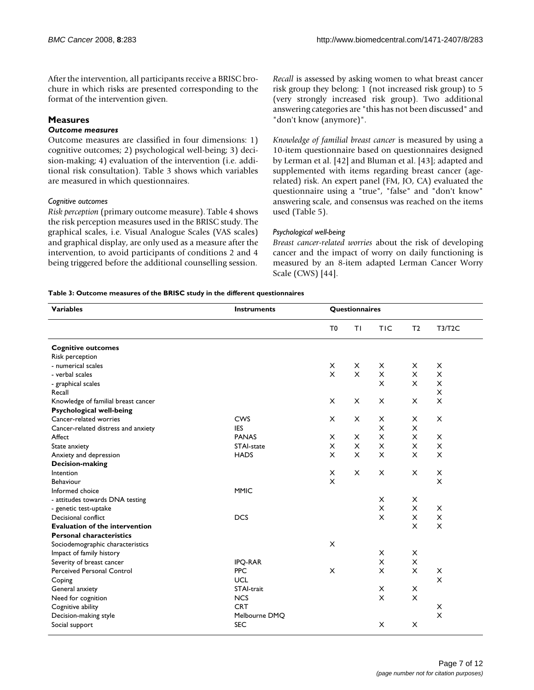After the intervention, all participants receive a BRISC brochure in which risks are presented corresponding to the format of the intervention given.

#### **Measures**

#### *Outcome measures*

Outcome measures are classified in four dimensions: 1) cognitive outcomes; 2) psychological well-being; 3) decision-making; 4) evaluation of the intervention (i.e. additional risk consultation). Table 3 shows which variables are measured in which questionnaires.

#### *Cognitive outcomes*

*Risk perception* (primary outcome measure). Table 4 shows the risk perception measures used in the BRISC study. The graphical scales, i.e. Visual Analogue Scales (VAS scales) and graphical display, are only used as a measure after the intervention, to avoid participants of conditions 2 and 4 being triggered before the additional counselling session.

*Recall* is assessed by asking women to what breast cancer risk group they belong: 1 (not increased risk group) to 5 (very strongly increased risk group). Two additional answering categories are "this has not been discussed" and "don't know (anymore)".

*Knowledge of familial breast cancer* is measured by using a 10-item questionnaire based on questionnaires designed by Lerman et al. [42] and Bluman et al. [43]; adapted and supplemented with items regarding breast cancer (agerelated) risk. An expert panel (FM, JO, CA) evaluated the questionnaire using a "true", "false" and "don't know" answering scale, and consensus was reached on the items used (Table 5).

#### *Psychological well-being*

*Breast cancer-related worries* about the risk of developing cancer and the impact of worry on daily functioning is measured by an 8-item adapted Lerman Cancer Worry Scale (CWS) [44].

#### **Table 3: Outcome measures of the BRISC study in the different questionnaires**

| <b>Variables</b>                      | <b>Instruments</b> |                | Questionnaires |            |                |               |  |
|---------------------------------------|--------------------|----------------|----------------|------------|----------------|---------------|--|
|                                       |                    | T <sub>0</sub> | TΙ             | <b>TIC</b> | T <sub>2</sub> | <b>T3/T2C</b> |  |
| <b>Cognitive outcomes</b>             |                    |                |                |            |                |               |  |
| Risk perception                       |                    |                |                |            |                |               |  |
| - numerical scales                    |                    | X              | X              | X          | X              | X             |  |
| - verbal scales                       |                    | $\mathsf{x}$   | $\mathsf{x}$   | $\times$   | X              | X             |  |
| - graphical scales                    |                    |                |                | $\times$   | X              | X             |  |
| Recall                                |                    |                |                |            |                | X             |  |
| Knowledge of familial breast cancer   |                    | X              | X              | X          | X              | X             |  |
| <b>Psychological well-being</b>       |                    |                |                |            |                |               |  |
| Cancer-related worries                | <b>CWS</b>         | X              | $\times$       | X          | X              | X             |  |
| Cancer-related distress and anxiety   | <b>IES</b>         |                |                | X          | X              |               |  |
| Affect                                | <b>PANAS</b>       | X              | $\times$       | $\times$   | X              | X             |  |
| State anxiety                         | STAI-state         | X              | $\times$       | $\times$   | X              | X             |  |
| Anxiety and depression                | <b>HADS</b>        | X              | $\times$       | $\times$   | X              | X             |  |
| <b>Decision-making</b>                |                    |                |                |            |                |               |  |
| Intention                             |                    | X              | X              | X          | X              | Χ             |  |
| Behaviour                             |                    | X              |                |            |                | X             |  |
| Informed choice                       | <b>MMIC</b>        |                |                |            |                |               |  |
| - attitudes towards DNA testing       |                    |                |                | $\times$   | X              |               |  |
| - genetic test-uptake                 |                    |                |                | $\times$   | X              | X             |  |
| Decisional conflict                   | <b>DCS</b>         |                |                | $\times$   | X              | X             |  |
| <b>Evaluation of the intervention</b> |                    |                |                |            | X              | X             |  |
| <b>Personal characteristics</b>       |                    |                |                |            |                |               |  |
| Sociodemographic characteristics      |                    | $\times$       |                |            |                |               |  |
| Impact of family history              |                    |                |                | $\times$   | X              |               |  |
| Severity of breast cancer             | <b>IPO-RAR</b>     |                |                | $\times$   | X              |               |  |
| Perceived Personal Control            | <b>PPC</b>         | $\times$       |                | $\times$   | X              | X             |  |
| Coping                                | UCL                |                |                |            |                | $\mathsf{x}$  |  |
| General anxiety                       | STAI-trait         |                |                | X          | X              |               |  |
| Need for cognition                    | <b>NCS</b>         |                |                | $\times$   | X              |               |  |
| Cognitive ability                     | <b>CRT</b>         |                |                |            |                | X             |  |
| Decision-making style                 | Melbourne DMQ      |                |                |            |                | $\times$      |  |
| Social support                        | <b>SEC</b>         |                |                | $\times$   | X              |               |  |
|                                       |                    |                |                |            |                |               |  |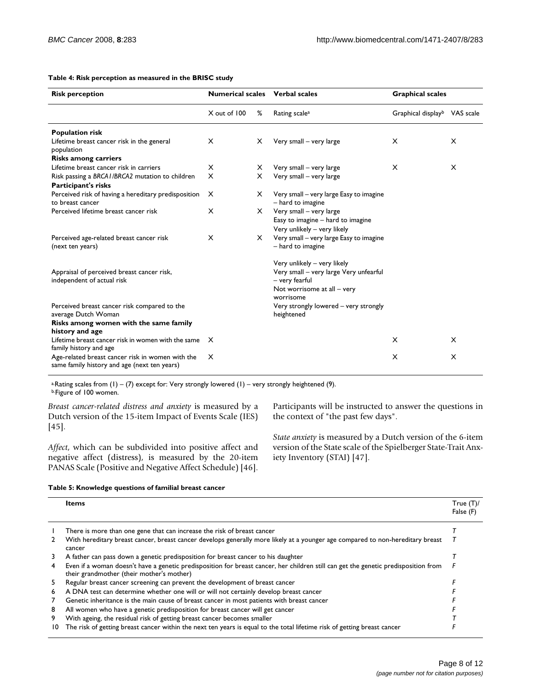#### **Table 4: Risk perception as measured in the BRISC study**

| <b>Risk perception</b>                                                                           | <b>Numerical scales</b> |   | <b>Verbal scales</b>                                         | <b>Graphical scales</b>                  |   |
|--------------------------------------------------------------------------------------------------|-------------------------|---|--------------------------------------------------------------|------------------------------------------|---|
|                                                                                                  | X out of 100            | % | Rating scale <sup>a</sup>                                    | Graphical display <sup>b</sup> VAS scale |   |
| <b>Population risk</b>                                                                           |                         |   |                                                              |                                          |   |
| Lifetime breast cancer risk in the general<br>population                                         | $\times$                | X | Very small - very large                                      | X                                        | X |
| <b>Risks among carriers</b>                                                                      |                         |   |                                                              |                                          |   |
| Lifetime breast cancer risk in carriers                                                          | $\times$                | х | Very small - very large                                      | $\times$                                 | X |
| Risk passing a BRCA1/BRCA2 mutation to children<br>Participant's risks                           | $\times$                | X | Very small - very large                                      |                                          |   |
| Perceived risk of having a hereditary predisposition<br>to breast cancer                         | $\times$                | x | Very small - very large Easy to imagine<br>- hard to imagine |                                          |   |
| Perceived lifetime breast cancer risk                                                            | $\times$                | X | Very small - very large                                      |                                          |   |
|                                                                                                  |                         |   | Easy to imagine - hard to imagine                            |                                          |   |
|                                                                                                  |                         |   | Very unlikely - very likely                                  |                                          |   |
| Perceived age-related breast cancer risk<br>(next ten years)                                     | $\times$                | X | Very small - very large Easy to imagine<br>- hard to imagine |                                          |   |
|                                                                                                  |                         |   | Very unlikely - very likely                                  |                                          |   |
| Appraisal of perceived breast cancer risk,<br>independent of actual risk                         |                         |   | Very small - very large Very unfearful<br>– very fearful     |                                          |   |
|                                                                                                  |                         |   | Not worrisome at all – very<br>worrisome                     |                                          |   |
| Perceived breast cancer risk compared to the<br>average Dutch Woman                              |                         |   | Very strongly lowered - very strongly<br>heightened          |                                          |   |
| Risks among women with the same family                                                           |                         |   |                                                              |                                          |   |
| history and age                                                                                  |                         |   |                                                              |                                          |   |
| Lifetime breast cancer risk in women with the same X<br>family history and age                   |                         |   |                                                              | $\times$                                 | X |
| Age-related breast cancer risk in women with the<br>same family history and age (next ten years) | $\times$                |   |                                                              | X                                        | X |

<sup>a.</sup>Rating scales from  $(1) - (7)$  except for: Very strongly lowered  $(1)$  – very strongly heightened  $(9)$ .

b.Figure of 100 women.

*Breast cancer-related distress and anxiety* is measured by a Dutch version of the 15-item Impact of Events Scale (IES) [45].

*Affect*, which can be subdivided into positive affect and negative affect (distress), is measured by the 20-item PANAS Scale (Positive and Negative Affect Schedule) [46].

Participants will be instructed to answer the questions in the context of "the past few days".

*State anxiety* is measured by a Dutch version of the 6-item version of the State scale of the Spielberger State-Trait Anxiety Inventory (STAI) [47].

#### **Table 5: Knowledge questions of familial breast cancer**

|    | <b>Items</b>                                                                                                                                                                     | True $(T)$ /<br>False (F) |
|----|----------------------------------------------------------------------------------------------------------------------------------------------------------------------------------|---------------------------|
|    | There is more than one gene that can increase the risk of breast cancer                                                                                                          |                           |
| 2  | With hereditary breast cancer, breast cancer develops generally more likely at a younger age compared to non-hereditary breast<br>cancer                                         |                           |
| 3  | A father can pass down a genetic predisposition for breast cancer to his daughter                                                                                                |                           |
| 4  | Even if a woman doesn't have a genetic predisposition for breast cancer, her children still can get the genetic predisposition from<br>their grandmother (their mother's mother) |                           |
| 5  | Regular breast cancer screening can prevent the development of breast cancer                                                                                                     |                           |
| 6  | A DNA test can determine whether one will or will not certainly develop breast cancer                                                                                            |                           |
| 7  | Genetic inheritance is the main cause of breast cancer in most patients with breast cancer                                                                                       |                           |
| 8  | All women who have a genetic predisposition for breast cancer will get cancer                                                                                                    |                           |
| 9  | With ageing, the residual risk of getting breast cancer becomes smaller                                                                                                          |                           |
| 10 | The risk of getting breast cancer within the next ten years is equal to the total lifetime risk of getting breast cancer                                                         |                           |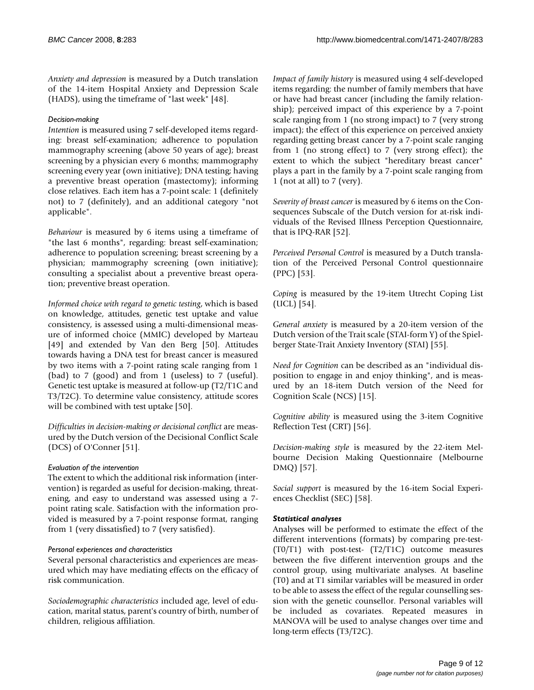*Anxiety and depression* is measured by a Dutch translation of the 14-item Hospital Anxiety and Depression Scale (HADS), using the timeframe of "last week" [48].

#### *Decision-making*

*Intention* is measured using 7 self-developed items regarding: breast self-examination; adherence to population mammography screening (above 50 years of age); breast screening by a physician every 6 months; mammography screening every year (own initiative); DNA testing; having a preventive breast operation (mastectomy); informing close relatives. Each item has a 7-point scale: 1 (definitely not) to 7 (definitely), and an additional category "not applicable".

*Behaviour* is measured by 6 items using a timeframe of "the last 6 months", regarding: breast self-examination; adherence to population screening; breast screening by a physician; mammography screening (own initiative); consulting a specialist about a preventive breast operation; preventive breast operation.

*Informed choice with regard to genetic testing*, which is based on knowledge, attitudes, genetic test uptake and value consistency, is assessed using a multi-dimensional measure of informed choice (MMIC) developed by Marteau [49] and extended by Van den Berg [50]. Attitudes towards having a DNA test for breast cancer is measured by two items with a 7-point rating scale ranging from 1 (bad) to 7 (good) and from 1 (useless) to 7 (useful). Genetic test uptake is measured at follow-up (T2/T1C and T3/T2C). To determine value consistency, attitude scores will be combined with test uptake [50].

*Difficulties in decision-making or decisional conflict* are measured by the Dutch version of the Decisional Conflict Scale (DCS) of O'Conner [51].

#### *Evaluation of the intervention*

The extent to which the additional risk information (intervention) is regarded as useful for decision-making, threatening, and easy to understand was assessed using a 7 point rating scale. Satisfaction with the information provided is measured by a 7-point response format, ranging from 1 (very dissatisfied) to 7 (very satisfied).

#### *Personal experiences and characteristics*

Several personal characteristics and experiences are measured which may have mediating effects on the efficacy of risk communication.

*Sociodemographic characteristics* included age, level of education, marital status, parent's country of birth, number of children, religious affiliation.

*Impact of family history* is measured using 4 self-developed items regarding: the number of family members that have or have had breast cancer (including the family relationship); perceived impact of this experience by a 7-point scale ranging from 1 (no strong impact) to 7 (very strong impact); the effect of this experience on perceived anxiety regarding getting breast cancer by a 7-point scale ranging from 1 (no strong effect) to 7 (very strong effect); the extent to which the subject "hereditary breast cancer" plays a part in the family by a 7-point scale ranging from 1 (not at all) to 7 (very).

*Severity of breast cancer* is measured by 6 items on the Consequences Subscale of the Dutch version for at-risk individuals of the Revised Illness Perception Questionnaire, that is IPQ-RAR [52].

*Perceived Personal Control* is measured by a Dutch translation of the Perceived Personal Control questionnaire (PPC) [53].

*Coping* is measured by the 19-item Utrecht Coping List (UCL) [54].

*General anxiety* is measured by a 20-item version of the Dutch version of the Trait scale (STAI-form Y) of the Spielberger State-Trait Anxiety Inventory (STAI) [55].

*Need for Cognition* can be described as an "individual disposition to engage in and enjoy thinking", and is measured by an 18-item Dutch version of the Need for Cognition Scale (NCS) [15].

*Cognitive ability* is measured using the 3-item Cognitive Reflection Test (CRT) [56].

*Decision-making style* is measured by the 22-item Melbourne Decision Making Questionnaire (Melbourne DMQ) [57].

*Social support* is measured by the 16-item Social Experiences Checklist (SEC) [58].

#### *Statistical analyses*

Analyses will be performed to estimate the effect of the different interventions (formats) by comparing pre-test- (T0/T1) with post-test- (T2/T1C) outcome measures between the five different intervention groups and the control group, using multivariate analyses. At baseline (T0) and at T1 similar variables will be measured in order to be able to assess the effect of the regular counselling session with the genetic counsellor. Personal variables will be included as covariates. Repeated measures in MANOVA will be used to analyse changes over time and long-term effects (T3/T2C).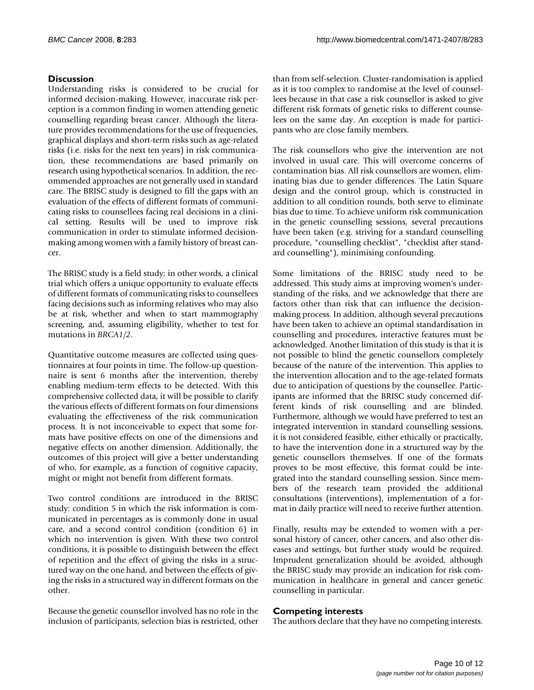### **Discussion**

Understanding risks is considered to be crucial for informed decision-making. However, inaccurate risk perception is a common finding in women attending genetic counselling regarding breast cancer. Although the literature provides recommendations for the use of frequencies, graphical displays and short-term risks such as age-related risks (i.e. risks for the next ten years) in risk communication, these recommendations are based primarily on research using hypothetical scenarios. In addition, the recommended approaches are not generally used in standard care. The BRISC study is designed to fill the gaps with an evaluation of the effects of different formats of communicating risks to counsellees facing real decisions in a clinical setting. Results will be used to improve risk communication in order to stimulate informed decisionmaking among women with a family history of breast cancer.

The BRISC study is a field study; in other words, a clinical trial which offers a unique opportunity to evaluate effects of different formats of communicating risks to counsellees facing decisions such as informing relatives who may also be at risk, whether and when to start mammography screening, and, assuming eligibility, whether to test for mutations in *BRCA1/2*.

Quantitative outcome measures are collected using questionnaires at four points in time. The follow-up questionnaire is sent 6 months after the intervention, thereby enabling medium-term effects to be detected. With this comprehensive collected data, it will be possible to clarify the various effects of different formats on four dimensions evaluating the effectiveness of the risk communication process. It is not inconceivable to expect that some formats have positive effects on one of the dimensions and negative effects on another dimension. Additionally, the outcomes of this project will give a better understanding of who, for example, as a function of cognitive capacity, might or might not benefit from different formats.

Two control conditions are introduced in the BRISC study: condition 5 in which the risk information is communicated in percentages as is commonly done in usual care, and a second control condition (condition 6) in which no intervention is given. With these two control conditions, it is possible to distinguish between the effect of repetition and the effect of giving the risks in a structured way on the one hand, and between the effects of giving the risks in a structured way in different formats on the other.

Because the genetic counsellor involved has no role in the inclusion of participants, selection bias is restricted, other than from self-selection. Cluster-randomisation is applied as it is too complex to randomise at the level of counsellees because in that case a risk counsellor is asked to give different risk formats of genetic risks to different counselees on the same day. An exception is made for participants who are close family members.

The risk counsellors who give the intervention are not involved in usual care. This will overcome concerns of contamination bias. All risk counsellors are women, eliminating bias due to gender differences. The Latin Square design and the control group, which is constructed in addition to all condition rounds, both serve to eliminate bias due to time. To achieve uniform risk communication in the genetic counselling sessions, several precautions have been taken (e.g. striving for a standard counselling procedure, "counselling checklist", "checklist after standard counselling"), minimising confounding.

Some limitations of the BRISC study need to be addressed. This study aims at improving women's understanding of the risks, and we acknowledge that there are factors other than risk that can influence the decisionmaking process. In addition, although several precautions have been taken to achieve an optimal standardisation in counselling and procedures, interactive features must be acknowledged. Another limitation of this study is that it is not possible to blind the genetic counsellors completely because of the nature of the intervention. This applies to the intervention allocation and to the age-related formats due to anticipation of questions by the counsellee. Participants are informed that the BRISC study concerned different kinds of risk counselling and are blinded. Furthermore, although we would have preferred to test an integrated intervention in standard counselling sessions, it is not considered feasible, either ethically or practically, to have the intervention done in a structured way by the genetic counsellors themselves. If one of the formats proves to be most effective, this format could be integrated into the standard counselling session. Since members of the research team provided the additional consultations (interventions), implementation of a format in daily practice will need to receive further attention.

Finally, results may be extended to women with a personal history of cancer, other cancers, and also other diseases and settings, but further study would be required. Imprudent generalization should be avoided, although the BRISC study may provide an indication for risk communication in healthcare in general and cancer genetic counselling in particular.

#### **Competing interests**

The authors declare that they have no competing interests.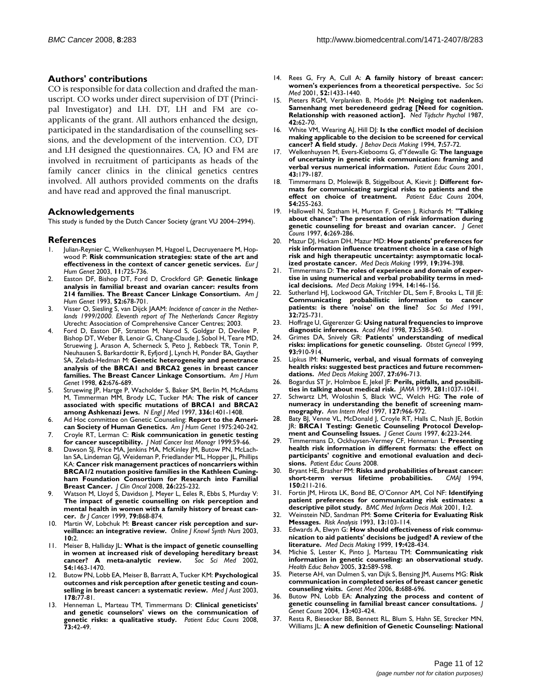#### **Authors' contributions**

CO is responsible for data collection and drafted the manuscript. CO works under direct supervision of DT (Principal Investigator) and LH. DT, LH and FM are coapplicants of the grant. All authors enhanced the design, participated in the standardisation of the counselling sessions, and the development of the intervention. CO, DT and LH designed the questionnaires. CA, JO and FM are involved in recruitment of participants as heads of the family cancer clinics in the clinical genetics centres involved. All authors provided comments on the drafts and have read and approved the final manuscript.

#### **Acknowledgements**

This study is funded by the Dutch Cancer Society (grant VU 2004–2994).

#### **References**

- 1. Julian-Reynier C, Welkenhuysen M, Hagoel L, Decruyenaere M, Hopwood P: **[Risk communication strategies: state of the art and](http://www.ncbi.nlm.nih.gov/entrez/query.fcgi?cmd=Retrieve&db=PubMed&dopt=Abstract&list_uids=14512961) [effectiveness in the context of cancer genetic services.](http://www.ncbi.nlm.nih.gov/entrez/query.fcgi?cmd=Retrieve&db=PubMed&dopt=Abstract&list_uids=14512961)** *Eur J Hum Genet* 2003, **11:**725-736.
- 2. Easton DF, Bishop DT, Ford D, Crockford GP: **[Genetic linkage](http://www.ncbi.nlm.nih.gov/entrez/query.fcgi?cmd=Retrieve&db=PubMed&dopt=Abstract&list_uids=8460634) [analysis in familial breast and ovarian cancer: results from](http://www.ncbi.nlm.nih.gov/entrez/query.fcgi?cmd=Retrieve&db=PubMed&dopt=Abstract&list_uids=8460634) [214 families. The Breast Cancer Linkage Consortium.](http://www.ncbi.nlm.nih.gov/entrez/query.fcgi?cmd=Retrieve&db=PubMed&dopt=Abstract&list_uids=8460634)** *Am J Hum Genet* 1993, **52:**678-701.
- 3. Visser O, Siesling S, van Dijck JAAM: *Incidence of cancer in the Netherlands 1999/2000. Eleventh report of The Netherlands Cancer Registry* Utrecht: Association of Comprehensive Cancer Centres; 2003.
- 4. Ford D, Easton DF, Stratton M, Narod S, Goldgar D, Devilee P, Bishop DT, Weber B, Lenoir G, Chang-Claude J, Sobol H, Teare MD, Struewing J, Arason A, Scherneck S, Peto J, Rebbeck TR, Tonin P, Neuhausen S, Barkardottir R, Eyfjord J, Lynch H, Ponder BA, Gayther SA, Zelada-Hedman M: **[Genetic heterogeneity and penetrance](http://www.ncbi.nlm.nih.gov/entrez/query.fcgi?cmd=Retrieve&db=PubMed&dopt=Abstract&list_uids=9497246) [analysis of the BRCA1 and BRCA2 genes in breast cancer](http://www.ncbi.nlm.nih.gov/entrez/query.fcgi?cmd=Retrieve&db=PubMed&dopt=Abstract&list_uids=9497246) [families. The Breast Cancer Linkage Consortium.](http://www.ncbi.nlm.nih.gov/entrez/query.fcgi?cmd=Retrieve&db=PubMed&dopt=Abstract&list_uids=9497246)** *Am J Hum Genet* 1998, **62:**676-689.
- 5. Struewing JP, Hartge P, Wacholder S, Baker SM, Berlin M, McAdams M, Timmerman MM, Brody LC, Tucker MA: **[The risk of cancer](http://www.ncbi.nlm.nih.gov/entrez/query.fcgi?cmd=Retrieve&db=PubMed&dopt=Abstract&list_uids=9145676) [associated with specific mutations of BRCA1 and BRCA2](http://www.ncbi.nlm.nih.gov/entrez/query.fcgi?cmd=Retrieve&db=PubMed&dopt=Abstract&list_uids=9145676) [among Ashkenazi Jews.](http://www.ncbi.nlm.nih.gov/entrez/query.fcgi?cmd=Retrieve&db=PubMed&dopt=Abstract&list_uids=9145676)** *N Engl J Med* 1997, **336:**1401-1408.
- 6. Ad Hoc committee on Genetic Counseling: **[Report to the Ameri](http://www.ncbi.nlm.nih.gov/entrez/query.fcgi?cmd=Retrieve&db=PubMed&dopt=Abstract&list_uids=1124768)[can Society of Human Genetics.](http://www.ncbi.nlm.nih.gov/entrez/query.fcgi?cmd=Retrieve&db=PubMed&dopt=Abstract&list_uids=1124768)** *Am J Hum Genet* 1975:240-242.
- 7. Croyle RT, Lerman C: **[Risk communication in genetic testing](http://www.ncbi.nlm.nih.gov/entrez/query.fcgi?cmd=Retrieve&db=PubMed&dopt=Abstract&list_uids=10854459) [for cancer susceptibility.](http://www.ncbi.nlm.nih.gov/entrez/query.fcgi?cmd=Retrieve&db=PubMed&dopt=Abstract&list_uids=10854459)** *J Natl Cancer Inst Monogr* 1999:59-66.
- 8. Dawson SJ, Price MA, Jenkins MA, McKinley JM, Butow PN, McLachlan SA, Lindeman GJ, Weideman P, Friedlander ML, Hopper JL, Phillips KA: **[Cancer risk management practices of noncarriers within](http://www.ncbi.nlm.nih.gov/entrez/query.fcgi?cmd=Retrieve&db=PubMed&dopt=Abstract&list_uids=18040054) [BRCA1/2 mutation positive families in the Kathleen Cuning](http://www.ncbi.nlm.nih.gov/entrez/query.fcgi?cmd=Retrieve&db=PubMed&dopt=Abstract&list_uids=18040054)ham Foundation Consortium for Research into Familial [Breast Cancer.](http://www.ncbi.nlm.nih.gov/entrez/query.fcgi?cmd=Retrieve&db=PubMed&dopt=Abstract&list_uids=18040054)** *J Clin Oncol* 2008, **26:**225-232.
- 9. Watson M, Lloyd S, Davidson J, Meyer L, Eeles R, Ebbs S, Murday V: **[The impact of genetic counselling on risk perception and](http://www.ncbi.nlm.nih.gov/entrez/query.fcgi?cmd=Retrieve&db=PubMed&dopt=Abstract&list_uids=10070883) mental health in women with a family history of breast can[cer.](http://www.ncbi.nlm.nih.gov/entrez/query.fcgi?cmd=Retrieve&db=PubMed&dopt=Abstract&list_uids=10070883)** *Br J Cancer* 1999, **79:**868-874.
- Martin W, Lobchuk M: [Breast cancer risk perception and sur](http://www.ncbi.nlm.nih.gov/entrez/query.fcgi?cmd=Retrieve&db=PubMed&dopt=Abstract&list_uids=12800051)**[veillance: an integrative review.](http://www.ncbi.nlm.nih.gov/entrez/query.fcgi?cmd=Retrieve&db=PubMed&dopt=Abstract&list_uids=12800051)** *Online J Knowl Synth Nurs* 2003, **10:**2.
- 11. Meiser B, Halliday JL: **[What is the impact of genetic counselling](http://www.ncbi.nlm.nih.gov/entrez/query.fcgi?cmd=Retrieve&db=PubMed&dopt=Abstract&list_uids=12061481) [in women at increased risk of developing hereditary breast](http://www.ncbi.nlm.nih.gov/entrez/query.fcgi?cmd=Retrieve&db=PubMed&dopt=Abstract&list_uids=12061481) [cancer? A meta-analytic review.](http://www.ncbi.nlm.nih.gov/entrez/query.fcgi?cmd=Retrieve&db=PubMed&dopt=Abstract&list_uids=12061481)** *Soc Sci Med* 2002, **54:**1463-1470.
- 12. Butow PN, Lobb EA, Meiser B, Barratt A, Tucker KM: **[Psychological](http://www.ncbi.nlm.nih.gov/entrez/query.fcgi?cmd=Retrieve&db=PubMed&dopt=Abstract&list_uids=12526728) [outcomes and risk perception after genetic testing and coun](http://www.ncbi.nlm.nih.gov/entrez/query.fcgi?cmd=Retrieve&db=PubMed&dopt=Abstract&list_uids=12526728)[selling in breast cancer: a systematic review.](http://www.ncbi.nlm.nih.gov/entrez/query.fcgi?cmd=Retrieve&db=PubMed&dopt=Abstract&list_uids=12526728)** *Med J Aust* 2003, **178:**77-81.
- 13. Henneman L, Marteau TM, Timmermans D: **[Clinical geneticists'](http://www.ncbi.nlm.nih.gov/entrez/query.fcgi?cmd=Retrieve&db=PubMed&dopt=Abstract&list_uids=18583088) [and genetic counselors' views on the communication of](http://www.ncbi.nlm.nih.gov/entrez/query.fcgi?cmd=Retrieve&db=PubMed&dopt=Abstract&list_uids=18583088) [genetic risks: a qualitative study.](http://www.ncbi.nlm.nih.gov/entrez/query.fcgi?cmd=Retrieve&db=PubMed&dopt=Abstract&list_uids=18583088)** *Patient Educ Couns* 2008, **73:**42-49.
- 14. Rees G, Fry A, Cull A: **[A family history of breast cancer:](http://www.ncbi.nlm.nih.gov/entrez/query.fcgi?cmd=Retrieve&db=PubMed&dopt=Abstract&list_uids=11286366) [women's experiences from a theoretical perspective.](http://www.ncbi.nlm.nih.gov/entrez/query.fcgi?cmd=Retrieve&db=PubMed&dopt=Abstract&list_uids=11286366)** *Soc Sci Med* 2001, **52:**1433-1440.
- 15. Pieters RGM, Verplanken B, Modde JM: **Neiging tot nadenken. Samenhang met beredeneerd gedrag [Need for cognition. Relationship with reasoned action].** *Ned Tijdschr Psychol* 1987, **42:**62-70.
- 16. White VM, Wearing AJ, Hill DJ: **Is the conflict model of decision making applicable to the decision to be screened for cervical cancer? A field study.** *J Behav Decis Making* 1994, **7:**57-72.
- 17. Welkenhuysen M, Evers-Kiebooms G, d'Ydewalle G: **[The language](http://www.ncbi.nlm.nih.gov/entrez/query.fcgi?cmd=Retrieve&db=PubMed&dopt=Abstract&list_uids=11369151) [of uncertainty in genetic risk communication: framing and](http://www.ncbi.nlm.nih.gov/entrez/query.fcgi?cmd=Retrieve&db=PubMed&dopt=Abstract&list_uids=11369151) [verbal versus numerical information.](http://www.ncbi.nlm.nih.gov/entrez/query.fcgi?cmd=Retrieve&db=PubMed&dopt=Abstract&list_uids=11369151)** *Patient Educ Couns* 2001, **43:**179-187.
- 18. Timmermans D, Molewijk B, Stiggelbout A, Kievit J: **[Different for](http://www.ncbi.nlm.nih.gov/entrez/query.fcgi?cmd=Retrieve&db=PubMed&dopt=Abstract&list_uids=15324976)[mats for communicating surgical risks to patients and the](http://www.ncbi.nlm.nih.gov/entrez/query.fcgi?cmd=Retrieve&db=PubMed&dopt=Abstract&list_uids=15324976) [effect on choice of treatment.](http://www.ncbi.nlm.nih.gov/entrez/query.fcgi?cmd=Retrieve&db=PubMed&dopt=Abstract&list_uids=15324976)** *Patient Educ Couns* 2004, **54:**255-263.
- 19. Hallowell N, Statham H, Murton F, Green J, Richards M: **"Talking about chance": The presentation of risk information during genetic counseling for breast and ovarian cancer.** *J Genet Couns* 1997, **6:**269-286.
- 20. Mazur DJ, Hickam DH, Mazur MD: **[How patients' preferences for](http://www.ncbi.nlm.nih.gov/entrez/query.fcgi?cmd=Retrieve&db=PubMed&dopt=Abstract&list_uids=10520677) [risk information influence treatment choice in a case of high](http://www.ncbi.nlm.nih.gov/entrez/query.fcgi?cmd=Retrieve&db=PubMed&dopt=Abstract&list_uids=10520677) risk and high therapeutic uncertainty: asymptomatic local[ized prostate cancer.](http://www.ncbi.nlm.nih.gov/entrez/query.fcgi?cmd=Retrieve&db=PubMed&dopt=Abstract&list_uids=10520677)** *Med Decis Making* 1999, **19:**394-398.
- Timmermans D: [The roles of experience and domain of exper](http://www.ncbi.nlm.nih.gov/entrez/query.fcgi?cmd=Retrieve&db=PubMed&dopt=Abstract&list_uids=8028467)**[tise in using numerical and verbal probability terms in med](http://www.ncbi.nlm.nih.gov/entrez/query.fcgi?cmd=Retrieve&db=PubMed&dopt=Abstract&list_uids=8028467)[ical decisions.](http://www.ncbi.nlm.nih.gov/entrez/query.fcgi?cmd=Retrieve&db=PubMed&dopt=Abstract&list_uids=8028467)** *Med Decis Making* 1994, **14:**146-156.
- 22. Sutherland HJ, Lockwood GA, Tritchler DL, Sem F, Brooks L, Till JE: **[Communicating probabilistic information to cancer](http://www.ncbi.nlm.nih.gov/entrez/query.fcgi?cmd=Retrieve&db=PubMed&dopt=Abstract&list_uids=2035049) [patients: is there 'noise' on the line?](http://www.ncbi.nlm.nih.gov/entrez/query.fcgi?cmd=Retrieve&db=PubMed&dopt=Abstract&list_uids=2035049)** *Soc Sci Med* 1991, **32:**725-731.
- 23. Hoffrage U, Gigerenzer G: **[Using natural frequencies to improve](http://www.ncbi.nlm.nih.gov/entrez/query.fcgi?cmd=Retrieve&db=PubMed&dopt=Abstract&list_uids=9609869) [diagnostic inferences.](http://www.ncbi.nlm.nih.gov/entrez/query.fcgi?cmd=Retrieve&db=PubMed&dopt=Abstract&list_uids=9609869)** *Acad Med* 1998, **73:**538-540.
- 24. Grimes DA, Snively GR: **[Patients' understanding of medical](http://www.ncbi.nlm.nih.gov/entrez/query.fcgi?cmd=Retrieve&db=PubMed&dopt=Abstract&list_uids=10362153) [risks: implications for genetic counseling.](http://www.ncbi.nlm.nih.gov/entrez/query.fcgi?cmd=Retrieve&db=PubMed&dopt=Abstract&list_uids=10362153)** *Obstet Gynecol* 1999, **93:**910-914.
- 25. Lipkus IM: **[Numeric, verbal, and visual formats of conveying](http://www.ncbi.nlm.nih.gov/entrez/query.fcgi?cmd=Retrieve&db=PubMed&dopt=Abstract&list_uids=17873259) [health risks: suggested best practices and future recommen](http://www.ncbi.nlm.nih.gov/entrez/query.fcgi?cmd=Retrieve&db=PubMed&dopt=Abstract&list_uids=17873259)[dations.](http://www.ncbi.nlm.nih.gov/entrez/query.fcgi?cmd=Retrieve&db=PubMed&dopt=Abstract&list_uids=17873259)** *Med Decis Making* 2007, **27:**696-713.
- 26. Bogardus ST Jr, Holmboe E, Jekel JF: **[Perils, pitfalls, and possibili](http://www.ncbi.nlm.nih.gov/entrez/query.fcgi?cmd=Retrieve&db=PubMed&dopt=Abstract&list_uids=10086441)[ties in talking about medical risk.](http://www.ncbi.nlm.nih.gov/entrez/query.fcgi?cmd=Retrieve&db=PubMed&dopt=Abstract&list_uids=10086441)** *JAMA* 1999, **281:**1037-1041.
- 27. Schwartz LM, Woloshin S, Black WC, Welch HG: **[The role of](http://www.ncbi.nlm.nih.gov/entrez/query.fcgi?cmd=Retrieve&db=PubMed&dopt=Abstract&list_uids=9412301) [numeracy in understanding the benefit of screening mam](http://www.ncbi.nlm.nih.gov/entrez/query.fcgi?cmd=Retrieve&db=PubMed&dopt=Abstract&list_uids=9412301)[mography.](http://www.ncbi.nlm.nih.gov/entrez/query.fcgi?cmd=Retrieve&db=PubMed&dopt=Abstract&list_uids=9412301)** *Ann Intern Med* 1997, **127:**966-972.
- 28. Baty BJ, Venne VL, McDonald J, Croyle RT, Halls C, Nash JE, Botkin JR: **BRCA1 Testing: Genetic Counseling Protocol Development and Counseling Issues.** *J Genet Couns* 1997, **6:**223-244.
- 29. Timmermans D, Ockhuysen-Vermey CF, Henneman L: **[Presenting](http://www.ncbi.nlm.nih.gov/entrez/query.fcgi?cmd=Retrieve&db=PubMed&dopt=Abstract&list_uids=18722073) [health risk information in different formats: the effect on](http://www.ncbi.nlm.nih.gov/entrez/query.fcgi?cmd=Retrieve&db=PubMed&dopt=Abstract&list_uids=18722073) participants' cognitive and emotional evaluation and deci[sions.](http://www.ncbi.nlm.nih.gov/entrez/query.fcgi?cmd=Retrieve&db=PubMed&dopt=Abstract&list_uids=18722073)** *Patient Educ Couns* 2008.
- Bryant HE, Brasher PM: **[Risks and probabilities of breast cancer:](http://www.ncbi.nlm.nih.gov/entrez/query.fcgi?cmd=Retrieve&db=PubMed&dopt=Abstract&list_uids=8287343)**<br>short-term versus lifetime probabilities.  $CMA$  1994, [short-term versus lifetime probabilities.](http://www.ncbi.nlm.nih.gov/entrez/query.fcgi?cmd=Retrieve&db=PubMed&dopt=Abstract&list_uids=8287343) **150:**211-216.
- 31. Fortin JM, Hirota LK, Bond BE, O'Connor AM, Col NF: **[Identifying](http://www.ncbi.nlm.nih.gov/entrez/query.fcgi?cmd=Retrieve&db=PubMed&dopt=Abstract&list_uids=11545684) [patient preferences for communicating risk estimates: a](http://www.ncbi.nlm.nih.gov/entrez/query.fcgi?cmd=Retrieve&db=PubMed&dopt=Abstract&list_uids=11545684) [descriptive pilot study.](http://www.ncbi.nlm.nih.gov/entrez/query.fcgi?cmd=Retrieve&db=PubMed&dopt=Abstract&list_uids=11545684)** *BMC Med Inform Decis Mak* 2001, **1:**2.
- 32. Weinstein ND, Sandman PM: **Some Criteria for Evaluating Risk Messages.** *Risk Analysis* 1993, **13:**103-114.
- 33. Edwards A, Elwyn G: **[How should effectiveness of risk commu](http://www.ncbi.nlm.nih.gov/entrez/query.fcgi?cmd=Retrieve&db=PubMed&dopt=Abstract&list_uids=10520681)[nication to aid patients' decisions be judged? A review of the](http://www.ncbi.nlm.nih.gov/entrez/query.fcgi?cmd=Retrieve&db=PubMed&dopt=Abstract&list_uids=10520681) [literature.](http://www.ncbi.nlm.nih.gov/entrez/query.fcgi?cmd=Retrieve&db=PubMed&dopt=Abstract&list_uids=10520681)** *Med Decis Making* 1999, **19:**428-434.
- 34. Michie S, Lester K, Pinto J, Marteau TM: **[Communicating risk](http://www.ncbi.nlm.nih.gov/entrez/query.fcgi?cmd=Retrieve&db=PubMed&dopt=Abstract&list_uids=16148206) [information in genetic counseling: an observational study.](http://www.ncbi.nlm.nih.gov/entrez/query.fcgi?cmd=Retrieve&db=PubMed&dopt=Abstract&list_uids=16148206)** *Health Educ Behav* 2005, **32:**589-598.
- 35. Pieterse AH, van Dulmen S, van Dijk S, Bensing JM, Ausems MG: **[Risk](http://www.ncbi.nlm.nih.gov/entrez/query.fcgi?cmd=Retrieve&db=PubMed&dopt=Abstract&list_uids=17108760) [communication in completed series of breast cancer genetic](http://www.ncbi.nlm.nih.gov/entrez/query.fcgi?cmd=Retrieve&db=PubMed&dopt=Abstract&list_uids=17108760) [counseling visits.](http://www.ncbi.nlm.nih.gov/entrez/query.fcgi?cmd=Retrieve&db=PubMed&dopt=Abstract&list_uids=17108760)** *Genet Med* 2006, **8:**688-696.
- 36. Butow PN, Lobb EA: **[Analyzing the process and content of](http://www.ncbi.nlm.nih.gov/entrez/query.fcgi?cmd=Retrieve&db=PubMed&dopt=Abstract&list_uids=15604639) [genetic counseling in familial breast cancer consultations.](http://www.ncbi.nlm.nih.gov/entrez/query.fcgi?cmd=Retrieve&db=PubMed&dopt=Abstract&list_uids=15604639)** *J Genet Couns* 2004, **13:**403-424.
- 37. Resta R, Biesecker BB, Bennett RL, Blum S, Hahn SE, Strecker MN, Williams JL: **[A new definition of Genetic Counseling: National](http://www.ncbi.nlm.nih.gov/entrez/query.fcgi?cmd=Retrieve&db=PubMed&dopt=Abstract&list_uids=16761103)**